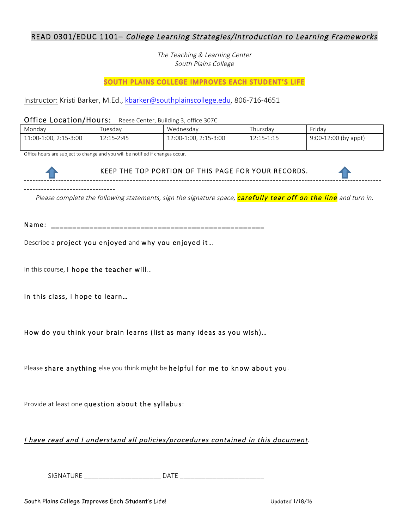# READ 0301/EDUC 1101– College Learning Strategies/Introduction to Learning Frameworks

The Teaching & Learning Center South Plains College

# SOUTH PLAINS COLLEGE IMPROVES EACH STUDENT'S LIFE

Instructor: Kristi Barker, M.Ed., kbarker@southplainscollege.edu, 806-716-4651

Office Location/Hours: Reese Center, Building 3, office 307C

| Monday                | uesdav     | Wednesdav             | l hursdav  | Friday                 |
|-----------------------|------------|-----------------------|------------|------------------------|
| 11:00-1:00, 2:15-3:00 | 12:15-2:45 | 12:00-1:00, 2:15-3:00 | 12:15-1:15 | $9:00-12:00$ (by appt) |
|                       |            |                       |            |                        |

Office hours are subject to change and you will be notified if changes occur.



Please complete the following statements, sign the signature space, **carefully tear off on the line** and turn in.

Name: \_\_\_\_\_\_\_\_\_\_\_\_\_\_\_\_\_\_\_\_\_\_\_\_\_\_\_\_\_\_\_\_\_\_\_\_\_\_\_\_\_\_\_\_\_\_\_\_\_\_

Describe a project you enjoyed and why you enjoyed it…

In this course, I hope the teacher will…

In this class, I hope to learn…

How do you think your brain learns (list as many ideas as you wish)…

Please share anything else you think might be helpful for me to know about you.

Provide at least one question about the syllabus:

I have read and I understand all policies/procedures contained in this document.

 ${\small \bf S}$ IGNATURE  ${\small \bf DATE}$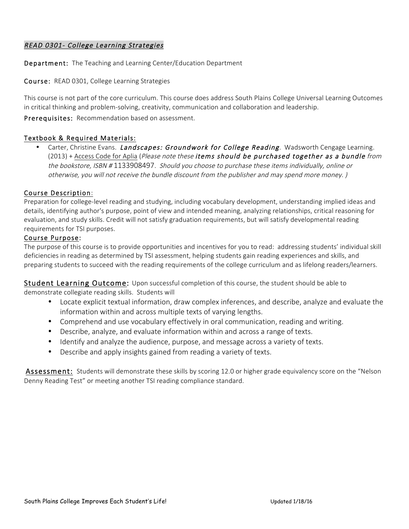## READ 0301- College Learning Strategies

Department: The Teaching and Learning Center/Education Department

Course: READ 0301, College Learning Strategies

This course is not part of the core curriculum. This course does address South Plains College Universal Learning Outcomes in critical thinking and problem-solving, creativity, communication and collaboration and leadership.

Prerequisites: Recommendation based on assessment.

### Textbook & Required Materials:

Carter, Christine Evans. Landscapes: Groundwork for College Reading. Wadsworth Cengage Learning. (2013) + Access Code for Aplia (Please note these items should be purchased together as a bundle from the bookstore, ISBN # 1133908497. Should you choose to purchase these items individually, online or otherwise, you will not receive the bundle discount from the publisher and may spend more money. )

#### Course Description:

Preparation for college-level reading and studying, including vocabulary development, understanding implied ideas and details, identifying author's purpose, point of view and intended meaning, analyzing relationships, critical reasoning for evaluation, and study skills. Credit will not satisfy graduation requirements, but will satisfy developmental reading requirements for TSI purposes.

#### Course Purpose:

The purpose of this course is to provide opportunities and incentives for you to read: addressing students' individual skill deficiencies in reading as determined by TSI assessment, helping students gain reading experiences and skills, and preparing students to succeed with the reading requirements of the college curriculum and as lifelong readers/learners.

Student Learning Outcome: Upon successful completion of this course, the student should be able to

demonstrate collegiate reading skills. Students will

- Locate explicit textual information, draw complex inferences, and describe, analyze and evaluate the information within and across multiple texts of varying lengths.
- Comprehend and use vocabulary effectively in oral communication, reading and writing.
- Describe, analyze, and evaluate information within and across a range of texts.
- Identify and analyze the audience, purpose, and message across a variety of texts.
- Describe and apply insights gained from reading a variety of texts.

Assessment: Students will demonstrate these skills by scoring 12.0 or higher grade equivalency score on the "Nelson Denny Reading Test" or meeting another TSI reading compliance standard.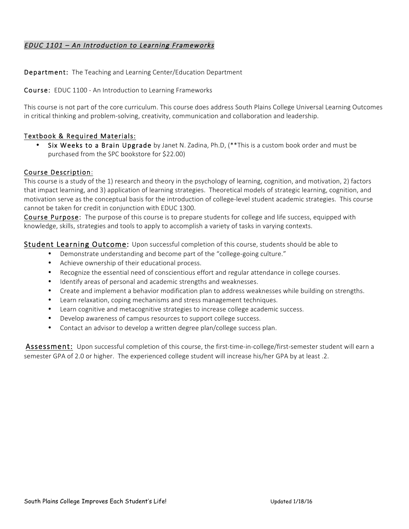# EDUC 1101 – An Introduction to Learning Frameworks

Department: The Teaching and Learning Center/Education Department

Course: EDUC 1100 - An Introduction to Learning Frameworks

This course is not part of the core curriculum. This course does address South Plains College Universal Learning Outcomes in critical thinking and problem-solving, creativity, communication and collaboration and leadership.

## Textbook & Required Materials:

• Six Weeks to a Brain Upgrade by Janet N. Zadina, Ph.D, (\*\*This is a custom book order and must be purchased from the SPC bookstore for \$22.00)

### Course Description:

This course is a study of the 1) research and theory in the psychology of learning, cognition, and motivation, 2) factors that impact learning, and 3) application of learning strategies. Theoretical models of strategic learning, cognition, and motivation serve as the conceptual basis for the introduction of college-level student academic strategies. This course cannot be taken for credit in conjunction with EDUC 1300.

Course Purpose: The purpose of this course is to prepare students for college and life success, equipped with knowledge, skills, strategies and tools to apply to accomplish a variety of tasks in varying contexts.

Student Learning Outcome: Upon successful completion of this course, students should be able to

- Demonstrate understanding and become part of the "college-going culture."
- Achieve ownership of their educational process.
- Recognize the essential need of conscientious effort and regular attendance in college courses.
- Identify areas of personal and academic strengths and weaknesses.
- Create and implement a behavior modification plan to address weaknesses while building on strengths.
- Learn relaxation, coping mechanisms and stress management techniques.
- Learn cognitive and metacognitive strategies to increase college academic success.
- Develop awareness of campus resources to support college success.
- Contact an advisor to develop a written degree plan/college success plan.

Assessment: Upon successful completion of this course, the first-time-in-college/first-semester student will earn a semester GPA of 2.0 or higher. The experienced college student will increase his/her GPA by at least .2.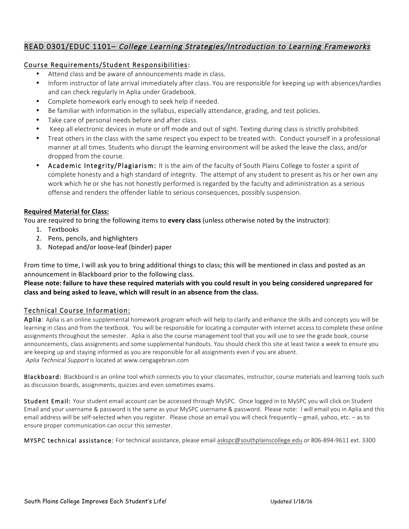# READ 0301/EDUC 1101– College Learning Strategies/Introduction to Learning Frameworks

# Course Requirements/Student Responsibilities:

- Attend class and be aware of announcements made in class.
- Inform instructor of late arrival immediately after class. You are responsible for keeping up with absences/tardies and can check regularly in Aplia under Gradebook.
- Complete homework early enough to seek help if needed.
- Be familiar with information in the syllabus, especially attendance, grading, and test policies.
- Take care of personal needs before and after class.
- Keep all electronic devices in mute or off mode and out of sight. Texting during class is strictly prohibited.
- Treat others in the class with the same respect you expect to be treated with. Conduct yourself in a professional manner at all times. Students who disrupt the learning environment will be asked the leave the class, and/or dropped from the course.
- Academic Integrity/Plagiarism: It is the aim of the faculty of South Plains College to foster a spirit of complete honesty and a high standard of integrity. The attempt of any student to present as his or her own any work which he or she has not honestly performed is regarded by the faculty and administration as a serious offense and renders the offender liable to serious consequences, possibly suspension.

## **Required Material for Class:**

You are required to bring the following items to **every class** (unless otherwise noted by the instructor):

- 1. Textbooks
- 2. Pens, pencils, and highlighters
- 3. Notepad and/or loose-leaf (binder) paper

From time to time, I will ask you to bring additional things to class; this will be mentioned in class and posted as an announcement in Blackboard prior to the following class.

Please note: failure to have these required materials with you could result in you being considered unprepared for class and being asked to leave, which will result in an absence from the class.

# Technical Course Information:

Aplia: Aplia is an online supplemental homework program which will help to clarify and enhance the skills and concepts you will be learning in class and from the textbook. You will be responsible for locating a computer with internet access to complete these online assignments throughout the semester. Aplia is also the course management tool that you will use to see the grade book, course announcements, class assignments and some supplemental handouts. You should check this site at least twice a week to ensure you are keeping up and staying informed as you are responsible for all assignments even if you are absent. Aplia Technical Support is located at www.cengagebrain.com

Blackboard: Blackboard is an online tool which connects you to your classmates, instructor, course materials and learning tools such as discussion boards, assignments, quizzes and even sometimes exams.

Student Email: Your student email account can be accessed through MySPC. Once logged in to MySPC you will click on Student Email and your username & password is the same as your MySPC username & password. Please note: I will email you in Aplia and this email address will be self-selected when you register. Please chose an email you will check frequently – gmail, yahoo, etc. – as to ensure proper communication can occur this semester.

MYSPC technical assistance: For technical assistance, please email askspc@southplainscollege.edu or 806-894-9611 ext. 3300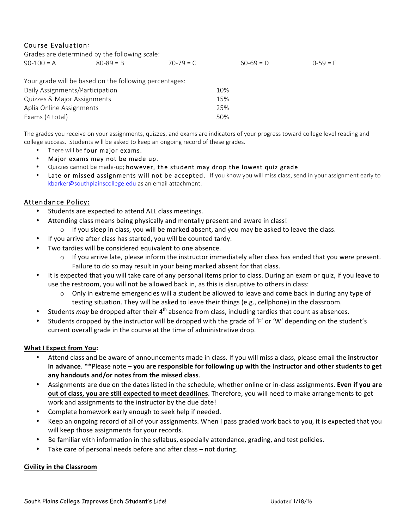# Course Evaluation:

| Grades are determined by the following scale: |               |             |             |            |
|-----------------------------------------------|---------------|-------------|-------------|------------|
| $90-100 = A$                                  | $80 - 89 = B$ | $70-79 = C$ | $60-69 = D$ | $0-59 = F$ |

| Your grade will be based on the following percentages: |     |
|--------------------------------------------------------|-----|
| Daily Assignments/Participation                        | 10% |
| Quizzes & Major Assignments                            | 15% |
| Aplia Online Assignments                               | 25% |
| Exams (4 total)                                        | 50% |

The grades you receive on your assignments, quizzes, and exams are indicators of your progress toward college level reading and college success. Students will be asked to keep an ongoing record of these grades.

- There will be four major exams.
- Major exams may not be made up.
- Quizzes cannot be made-up; however, the student may drop the lowest quiz grade
- Late or missed assignments will not be accepted. If you know you will miss class, send in your assignment early to kbarker@southplainscollege.edu as an email attachment.

## Attendance Policy:

- Students are expected to attend ALL class meetings.
- Attending class means being physically and mentally present and aware in class!
	- $\circ$  If you sleep in class, you will be marked absent, and you may be asked to leave the class.
	- If you arrive after class has started, you will be counted tardy.
- Two tardies will be considered equivalent to one absence.
	- $\circ$  If you arrive late, please inform the instructor immediately after class has ended that you were present. Failure to do so may result in your being marked absent for that class.
- It is expected that you will take care of any personal items prior to class. During an exam or quiz, if you leave to use the restroom, you will not be allowed back in, as this is disruptive to others in class:
	- $\circ$  Only in extreme emergencies will a student be allowed to leave and come back in during any type of testing situation. They will be asked to leave their things (e.g., cellphone) in the classroom.
- Students *may* be dropped after their 4<sup>th</sup> absence from class, including tardies that count as absences.
- Students dropped by the instructor will be dropped with the grade of 'F' or 'W' depending on the student's current overall grade in the course at the time of administrative drop.

#### **What I Expect from You:**

- Attend class and be aware of announcements made in class. If you will miss a class, please email the **instructor in advance.** \*\*Please note – you are responsible for following up with the instructor and other students to get any handouts and/or notes from the missed class.
- Assignments are due on the dates listed in the schedule, whether online or in-class assignments. Even if you are **out of class, you are still expected to meet deadlines**. Therefore, you will need to make arrangements to get work and assignments to the instructor by the due date!
- Complete homework early enough to seek help if needed.
- Keep an ongoing record of all of your assignments. When I pass graded work back to you, it is expected that you will keep those assignments for your records.
- Be familiar with information in the syllabus, especially attendance, grading, and test policies.
- Take care of personal needs before and after class  $-$  not during.

#### **Civility in the Classroom**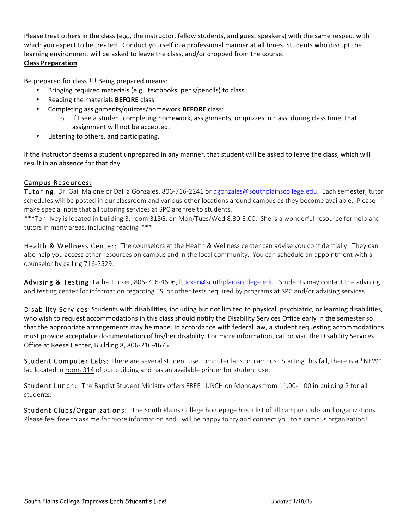Please treat others in the class (e.g., the instructor, fellow students, and guest speakers) with the same respect with which you expect to be treated. Conduct yourself in a professional manner at all times. Students who disrupt the learning environment will be asked to leave the class, and/or dropped from the course.

# **Class Preparation**

Be prepared for class!!!! Being prepared means:

- Bringing required materials (e.g., textbooks, pens/pencils) to class
- Reading the materials **BEFORE** class
- Completing assignments/quizzes/homework **BEFORE** class:
	- $\circ$  If I see a student completing homework, assignments, or quizzes in class, during class time, that assignment will not be accepted.
- Listening to others, and participating.

If the instructor deems a student unprepared in any manner, that student will be asked to leave the class, which will result in an absence for that day.

# Campus Resources:

Tutoring: Dr. Gail Malone or Dalila Gonzales, 806-716-2241 or dgonzales@southplainscollege.edu. Each semester, tutor schedules will be posted in our classroom and various other locations around campus as they become available. Please make special note that all tutoring services at SPC are free to students.

\*\*\*Toni Ivey is located in building 3, room 318G, on Mon/Tues/Wed 8:30-3:00. She is a wonderful resource for help and tutors in many areas, including reading!\*\*\*

Health & Wellness Center: The counselors at the Health & Wellness center can advise you confidentially. They can also help you access other resources on campus and in the local community. You can schedule an appointment with a counselor by calling 716-2529.

Advising & Testing: Latha Tucker, 806-716-4606, ltucker@southplainscollege.edu. Students may contact the advising and testing center for information regarding TSI or other tests required by programs at SPC and/or advising services.

Disability Services: Students with disabilities, including but not limited to physical, psychiatric, or learning disabilities, who wish to request accommodations in this class should notify the Disability Services Office early in the semester so that the appropriate arrangements may be made. In accordance with federal law, a student requesting accommodations must provide acceptable documentation of his/her disability. For more information, call or visit the Disability Services Office at Reese Center, Building 8, 806-716-4675.

Student Computer Labs: There are several student use computer labs on campus. Starting this fall, there is a \*NEW\* lab located in room 314 of our building and has an available printer for student use.

Student Lunch: The Baptist Student Ministry offers FREE LUNCH on Mondays from 11:00-1:00 in building 2 for all students.

Student Clubs/Organizations: The South Plains College homepage has a list of all campus clubs and organizations. Please feel free to ask me for more information and I will be happy to try and connect you to a campus organization!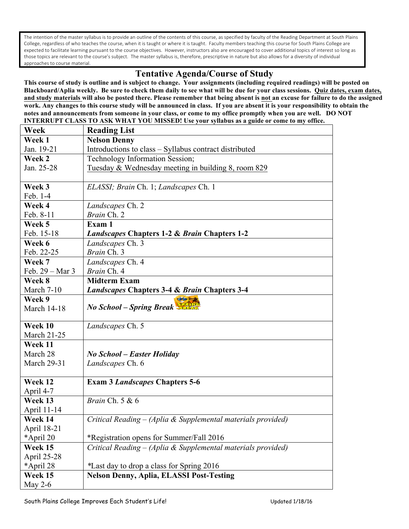The intention of the master syllabus is to provide an outline of the contents of this course, as specified by faculty of the Reading Department at South Plains College, regardless of who teaches the course, when it is taught or where it is taught. Faculty members teaching this course for South Plains College are expected to facilitate learning pursuant to the course objectives. However, instructors also are encouraged to cover additional topics of interest so long as those topics are relevant to the course's subject. The master syllabus is, therefore, prescriptive in nature but also allows for a diversity of individual approaches to course material.

# **Tentative Agenda/Course of Study**

**This course of study is outline and is subject to change. Your assignments (including required readings) will be posted on Blackboard/Aplia weekly. Be sure to check them daily to see what will be due for your class sessions. Quiz dates, exam dates, and study materials will also be posted there. Please remember that being absent is not an excuse for failure to do the assigned work. Any changes to this course study will be announced in class. If you are absent it is your responsibility to obtain the notes and announcements from someone in your class, or come to my office promptly when you are well. DO NOT INTERRUPT CLASS TO ASK WHAT YOU MISSED! Use your syllabus as a guide or come to my office.** 

| Week               | <b>Reading List</b>                                          |  |  |
|--------------------|--------------------------------------------------------------|--|--|
| Week 1             | <b>Nelson Denny</b>                                          |  |  |
| Jan. 19-21         | Introductions to class – Syllabus contract distributed       |  |  |
| Week 2             | Technology Information Session;                              |  |  |
| Jan. 25-28         | Tuesday & Wednesday meeting in building 8, room 829          |  |  |
|                    |                                                              |  |  |
| Week 3             | ELASSI; Brain Ch. 1; Landscapes Ch. 1                        |  |  |
| Feb. 1-4           |                                                              |  |  |
| Week 4             | Landscapes Ch. 2                                             |  |  |
| Feb. 8-11          | Brain Ch. 2                                                  |  |  |
| Week 5             | Exam 1                                                       |  |  |
| Feb. 15-18         | <i>Landscapes</i> Chapters 1-2 & <i>Brain</i> Chapters 1-2   |  |  |
| Week 6             | Landscapes Ch. 3                                             |  |  |
| Feb. 22-25         | Brain Ch. 3                                                  |  |  |
| Week 7             | Landscapes Ch. 4                                             |  |  |
| Feb. 29 – Mar 3    | Brain Ch. 4                                                  |  |  |
| Week 8             | <b>Midterm Exam</b>                                          |  |  |
| March 7-10         | <b>Landscapes Chapters 3-4 &amp; Brain Chapters 3-4</b>      |  |  |
| Week 9             | 003                                                          |  |  |
| <b>March 14-18</b> | No School - Spring Break                                     |  |  |
|                    |                                                              |  |  |
| Week 10            | Landscapes Ch. 5                                             |  |  |
| <b>March 21-25</b> |                                                              |  |  |
| Week 11            |                                                              |  |  |
| March 28           | <b>No School – Easter Holiday</b>                            |  |  |
| <b>March 29-31</b> | Landscapes Ch. 6                                             |  |  |
|                    |                                                              |  |  |
| Week 12            | <b>Exam 3 Landscapes Chapters 5-6</b>                        |  |  |
| April 4-7          |                                                              |  |  |
| Week 13            | Brain Ch. 5 & 6                                              |  |  |
| April 11-14        |                                                              |  |  |
| Week 14            | Critical Reading - (Aplia & Supplemental materials provided) |  |  |
| April 18-21        |                                                              |  |  |
| *April 20          | *Registration opens for Summer/Fall 2016                     |  |  |
| Week 15            | Critical Reading - (Aplia & Supplemental materials provided) |  |  |
| April 25-28        |                                                              |  |  |
| *April 28          | <i>*Last day to drop a class for Spring 2016</i>             |  |  |
| Week 15            | <b>Nelson Denny, Aplia, ELASSI Post-Testing</b>              |  |  |
| May $2-6$          |                                                              |  |  |